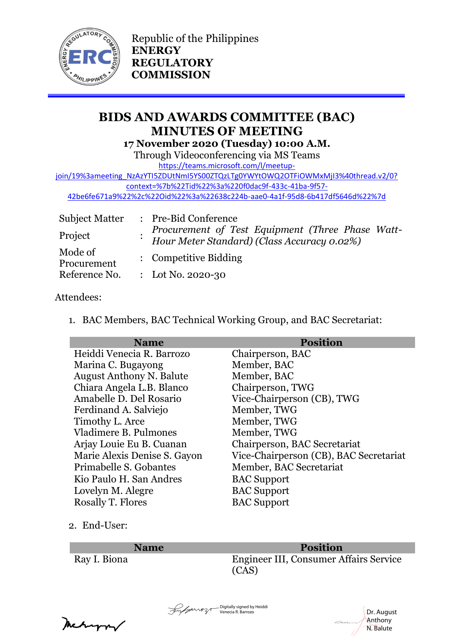

Republic of the Philippines **ENERGY REGULATORY COMMISSION**

# **BIDS AND AWARDS COMMITTEE (BAC) MINUTES OF MEETING 17 November 2020 (Tuesday) 10:00 A.M.**

Through Videoconferencing via MS Teams

[https://teams.microsoft.com/l/meetup-](https://teams.microsoft.com/l/meetup-join/19%3ameeting_NzAzYTI5ZDUtNmI5YS00ZTQzLTg0YWYtOWQ2OTFiOWMxMjI3%40thread.v2/0?context=%7b%22Tid%22%3a%220f0dac9f-433c-41ba-9f57-42be6fe671a9%22%2c%22Oid%22%3a%22638c224b-aae0-4a1f-95d8-6b417df5646d%22%7d)

[join/19%3ameeting\\_NzAzYTI5ZDUtNmI5YS00ZTQzLTg0YWYtOWQ2OTFiOWMxMjI3%40thread.v2/0?](https://teams.microsoft.com/l/meetup-join/19%3ameeting_NzAzYTI5ZDUtNmI5YS00ZTQzLTg0YWYtOWQ2OTFiOWMxMjI3%40thread.v2/0?context=%7b%22Tid%22%3a%220f0dac9f-433c-41ba-9f57-42be6fe671a9%22%2c%22Oid%22%3a%22638c224b-aae0-4a1f-95d8-6b417df5646d%22%7d) [context=%7b%22Tid%22%3a%220f0dac9f-433c-41ba-9f57-](https://teams.microsoft.com/l/meetup-join/19%3ameeting_NzAzYTI5ZDUtNmI5YS00ZTQzLTg0YWYtOWQ2OTFiOWMxMjI3%40thread.v2/0?context=%7b%22Tid%22%3a%220f0dac9f-433c-41ba-9f57-42be6fe671a9%22%2c%22Oid%22%3a%22638c224b-aae0-4a1f-95d8-6b417df5646d%22%7d)

[42be6fe671a9%22%2c%22Oid%22%3a%22638c224b-aae0-4a1f-95d8-6b417df5646d%22%7d](https://teams.microsoft.com/l/meetup-join/19%3ameeting_NzAzYTI5ZDUtNmI5YS00ZTQzLTg0YWYtOWQ2OTFiOWMxMjI3%40thread.v2/0?context=%7b%22Tid%22%3a%220f0dac9f-433c-41ba-9f57-42be6fe671a9%22%2c%22Oid%22%3a%22638c224b-aae0-4a1f-95d8-6b417df5646d%22%7d)

| <b>Subject Matter</b>  | : Pre-Bid Conference                                                                            |
|------------------------|-------------------------------------------------------------------------------------------------|
| Project                | Procurement of Test Equipment (Three Phase Watt-<br>Hour Meter Standard) (Class Accuracy 0.02%) |
| Mode of<br>Procurement | : Competitive Bidding                                                                           |
| Reference No.          | : Lot No. 2020-30                                                                               |

## Attendees:

1. BAC Members, BAC Technical Working Group, and BAC Secretariat:

| <b>Name</b>                     | <b>Position</b>                        |
|---------------------------------|----------------------------------------|
| Heiddi Venecia R. Barrozo       | Chairperson, BAC                       |
| Marina C. Bugayong              | Member, BAC                            |
| <b>August Anthony N. Balute</b> | Member, BAC                            |
| Chiara Angela L.B. Blanco       | Chairperson, TWG                       |
| Amabelle D. Del Rosario         | Vice-Chairperson (CB), TWG             |
| Ferdinand A. Salviejo           | Member, TWG                            |
| Timothy L. Arce                 | Member, TWG                            |
| Vladimere B. Pulmones           | Member, TWG                            |
| Arjay Louie Eu B. Cuanan        | Chairperson, BAC Secretariat           |
| Marie Alexis Denise S. Gayon    | Vice-Chairperson (CB), BAC Secretariat |
| Primabelle S. Gobantes          | Member, BAC Secretariat                |
| Kio Paulo H. San Andres         | <b>BAC</b> Support                     |
| Lovelyn M. Alegre               | <b>BAC Support</b>                     |
| <b>Rosally T. Flores</b>        | <b>BAC</b> Support                     |

## 2. End-User:

#### **Name Position**

Ray I. Biona Engineer III, Consumer Affairs Service (CAS)

return/

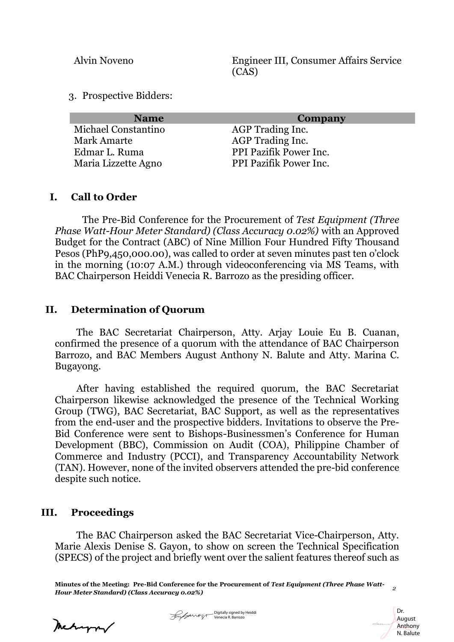Alvin Noveno Engineer III, Consumer Affairs Service (CAS)

3. Prospective Bidders:

| <b>Name</b>         | Company                |
|---------------------|------------------------|
| Michael Constantino | AGP Trading Inc.       |
| <b>Mark Amarte</b>  | AGP Trading Inc.       |
| Edmar L. Ruma       | PPI Pazifik Power Inc. |
| Maria Lizzette Agno | PPI Pazifik Power Inc. |

#### **I. Call to Order**

The Pre-Bid Conference for the Procurement of *Test Equipment (Three Phase Watt-Hour Meter Standard) (Class Accuracy 0.02%)* with an Approved Budget for the Contract (ABC) of Nine Million Four Hundred Fifty Thousand Pesos (PhP9,450,000.00), was called to order at seven minutes past ten o'clock in the morning (10:07 A.M.) through videoconferencing via MS Teams, with BAC Chairperson Heiddi Venecia R. Barrozo as the presiding officer.

#### **II. Determination of Quorum**

The BAC Secretariat Chairperson, Atty. Arjay Louie Eu B. Cuanan, confirmed the presence of a quorum with the attendance of BAC Chairperson Barrozo, and BAC Members August Anthony N. Balute and Atty. Marina C. Bugayong.

After having established the required quorum, the BAC Secretariat Chairperson likewise acknowledged the presence of the Technical Working Group (TWG), BAC Secretariat, BAC Support, as well as the representatives from the end-user and the prospective bidders. Invitations to observe the Pre-Bid Conference were sent to Bishops-Businessmen's Conference for Human Development (BBC), Commission on Audit (COA), Philippine Chamber of Commerce and Industry (PCCI), and Transparency Accountability Network (TAN). However, none of the invited observers attended the pre-bid conference despite such notice.

## **III. Proceedings**

The BAC Chairperson asked the BAC Secretariat Vice-Chairperson, Atty. Marie Alexis Denise S. Gayon, to show on screen the Technical Specification (SPECS) of the project and briefly went over the salient features thereof such as

**Minutes of the Meeting: Pre-Bid Conference for the Procurement of** *Test Equipment (Three Phase Watt-Hour Meter Standard) (Class Accuracy 0.02%) <sup>2</sup>*

> Dr. August Anthony

Meturn/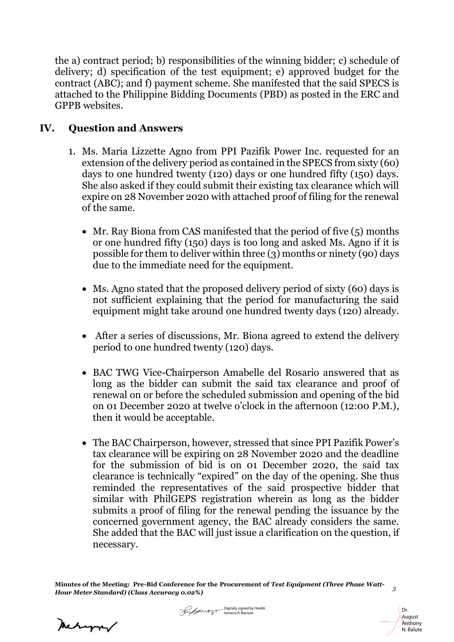the a) contract period; b) responsibilities of the winning bidder; c) schedule of delivery; d) specification of the test equipment; e) approved budget for the contract (ABC); and f) payment scheme. She manifested that the said SPECS is attached to the Philippine Bidding Documents (PBD) as posted in the ERC and GPPB websites.

## **IV. Question and Answers**

- 1. Ms. Maria Lizzette Agno from PPI Pazifik Power Inc. requested for an extension of the delivery period as contained in the SPECS from sixty (60) days to one hundred twenty (120) days or one hundred fifty (150) days. She also asked if they could submit their existing tax clearance which will expire on 28 November 2020 with attached proof of filing for the renewal of the same.
	- Mr. Ray Biona from CAS manifested that the period of five (5) months or one hundred fifty (150) days is too long and asked Ms. Agno if it is possible for them to deliver within three (3) months or ninety (90) days due to the immediate need for the equipment.
	- Ms. Agno stated that the proposed delivery period of sixty (60) days is not sufficient explaining that the period for manufacturing the said equipment might take around one hundred twenty days (120) already.
	- After a series of discussions, Mr. Biona agreed to extend the delivery period to one hundred twenty (120) days.
	- BAC TWG Vice-Chairperson Amabelle del Rosario answered that as long as the bidder can submit the said tax clearance and proof of renewal on or before the scheduled submission and opening of the bid on 01 December 2020 at twelve o'clock in the afternoon (12:00 P.M.), then it would be acceptable.
	- The BAC Chairperson, however, stressed that since PPI Pazifik Power's tax clearance will be expiring on 28 November 2020 and the deadline for the submission of bid is on 01 December 2020, the said tax clearance is technically "expired" on the day of the opening. She thus reminded the representatives of the said prospective bidder that similar with PhilGEPS registration wherein as long as the bidder submits a proof of filing for the renewal pending the issuance by the concerned government agency, the BAC already considers the same. She added that the BAC will just issue a clarification on the question, if necessary.

**Minutes of the Meeting: Pre-Bid Conference for the Procurement of** *Test Equipment (Three Phase Watt-Hour Meter Standard) (Class Accuracy 0.02%) <sup>3</sup>*

Meturn



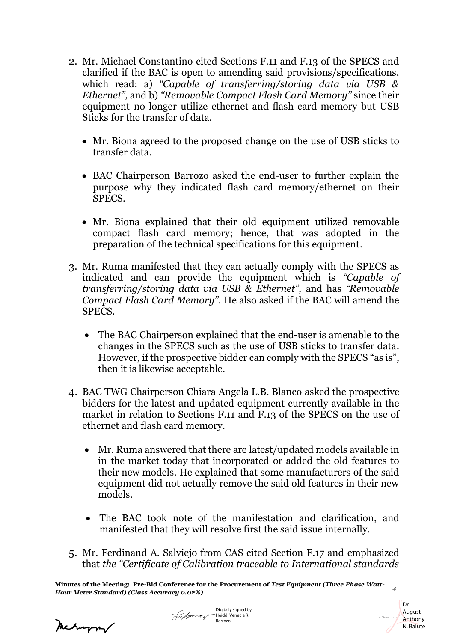- 2. Mr. Michael Constantino cited Sections F.11 and F.13 of the SPECS and clarified if the BAC is open to amending said provisions/specifications, which read: a) *"Capable of transferring/storing data via USB & Ethernet",* and b) *"Removable Compact Flash Card Memory"* since their equipment no longer utilize ethernet and flash card memory but USB Sticks for the transfer of data.
	- Mr. Biona agreed to the proposed change on the use of USB sticks to transfer data.
	- BAC Chairperson Barrozo asked the end-user to further explain the purpose why they indicated flash card memory/ethernet on their SPECS.
	- Mr. Biona explained that their old equipment utilized removable compact flash card memory; hence, that was adopted in the preparation of the technical specifications for this equipment.
- 3. Mr. Ruma manifested that they can actually comply with the SPECS as indicated and can provide the equipment which is *"Capable of transferring/storing data via USB & Ethernet",* and has *"Removable Compact Flash Card Memory".* He also asked if the BAC will amend the SPECS.
	- The BAC Chairperson explained that the end-user is amenable to the changes in the SPECS such as the use of USB sticks to transfer data. However, if the prospective bidder can comply with the SPECS "as is", then it is likewise acceptable.
- 4. BAC TWG Chairperson Chiara Angela L.B. Blanco asked the prospective bidders for the latest and updated equipment currently available in the market in relation to Sections F.11 and F.13 of the SPECS on the use of ethernet and flash card memory.
	- Mr. Ruma answered that there are latest/updated models available in in the market today that incorporated or added the old features to their new models. He explained that some manufacturers of the said equipment did not actually remove the said old features in their new models.
	- The BAC took note of the manifestation and clarification, and manifested that they will resolve first the said issue internally.
- 5. Mr. Ferdinand A. Salviejo from CAS cited Section F.17 and emphasized that *the "Certificate of Calibration traceable to International standards*

Meturn/

Digitally signed by Forganozo Heiddi Venecia R. Barrozo



**Minutes of the Meeting: Pre-Bid Conference for the Procurement of** *Test Equipment (Three Phase Watt-Hour Meter Standard) (Class Accuracy 0.02%) <sup>4</sup>*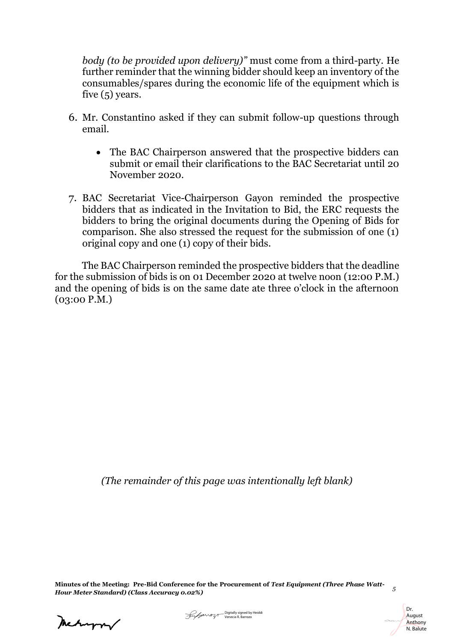*body (to be provided upon delivery)"* must come from a third-party. He further reminder that the winning bidder should keep an inventory of the consumables/spares during the economic life of the equipment which is five (5) years.

- 6. Mr. Constantino asked if they can submit follow-up questions through email.
	- The BAC Chairperson answered that the prospective bidders can submit or email their clarifications to the BAC Secretariat until 20 November 2020.
- 7. BAC Secretariat Vice-Chairperson Gayon reminded the prospective bidders that as indicated in the Invitation to Bid, the ERC requests the bidders to bring the original documents during the Opening of Bids for comparison. She also stressed the request for the submission of one (1) original copy and one (1) copy of their bids.

The BAC Chairperson reminded the prospective bidders that the deadline for the submission of bids is on 01 December 2020 at twelve noon (12:00 P.M.) and the opening of bids is on the same date ate three o'clock in the afternoon (03:00 P.M.)

*(The remainder of this page was intentionally left blank)*

**Minutes of the Meeting: Pre-Bid Conference for the Procurement of** *Test Equipment (Three Phase Watt-Hour Meter Standard) (Class Accuracy 0.02%) <sup>5</sup>*

Mehapor